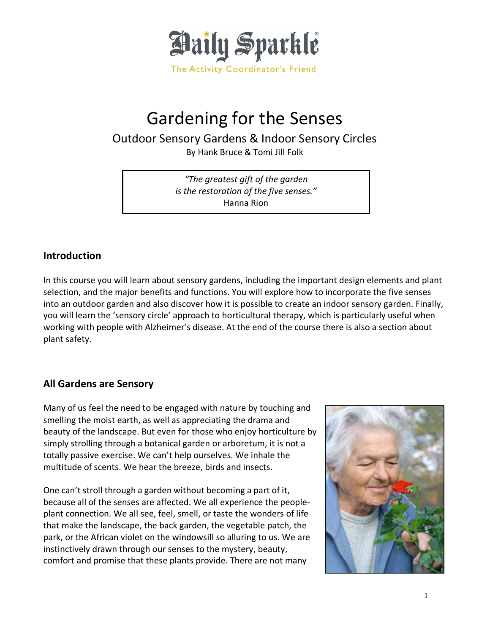

# Gardening for the Senses

Outdoor Sensory Gardens & Indoor Sensory Circles

By Hank Bruce & Tomi Jill Folk

*"The greatest gift of the garden is the restoration of the five senses."* Hanna Rion

## **Introduction**

In this course you will learn about sensory gardens, including the important design elements and plant selection, and the major benefits and functions. You will explore how to incorporate the five senses into an outdoor garden and also discover how it is possible to create an indoor sensory garden. Finally, you will learn the 'sensory circle' approach to horticultural therapy, which is particularly useful when working with people with Alzheimer's disease. At the end of the course there is also a section about plant safety.

# **All Gardens are Sensory**

Many of us feel the need to be engaged with nature by touching and smelling the moist earth, as well as appreciating the drama and beauty of the landscape. But even for those who enjoy horticulture by simply strolling through a botanical garden or arboretum, it is not a totally passive exercise. We can't help ourselves. We inhale the multitude of scents. We hear the breeze, birds and insects.

One can't stroll through a garden without becoming a part of it, because all of the senses are affected. We all experience the peopleplant connection. We all see, feel, smell, or taste the wonders of life that make the landscape, the back garden, the vegetable patch, the park, or the African violet on the windowsill so alluring to us. We are instinctively drawn through our senses to the mystery, beauty, comfort and promise that these plants provide. There are not many

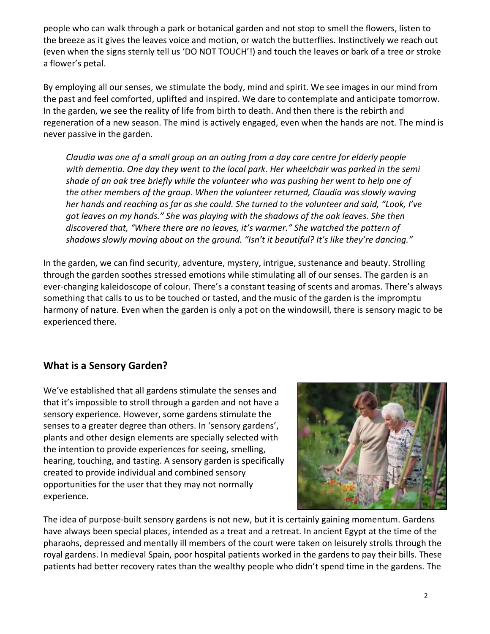people who can walk through a park or botanical garden and not stop to smell the flowers, listen to the breeze as it gives the leaves voice and motion, or watch the butterflies. Instinctively we reach out (even when the signs sternly tell us 'DO NOT TOUCH'!) and touch the leaves or bark of a tree or stroke a flower's petal.

By employing all our senses, we stimulate the body, mind and spirit. We see images in our mind from the past and feel comforted, uplifted and inspired. We dare to contemplate and anticipate tomorrow. In the garden, we see the reality of life from birth to death. And then there is the rebirth and regeneration of a new season. The mind is actively engaged, even when the hands are not. The mind is never passive in the garden.

*Claudia was one of a small group on an outing from a day care centre for elderly people with dementia. One day they went to the local park. Her wheelchair was parked in the semi shade of an oak tree briefly while the volunteer who was pushing her went to help one of the other members of the group. When the volunteer returned, Claudia was slowly waving her hands and reaching as far as she could. She turned to the volunteer and said, "Look, I've got leaves on my hands." She was playing with the shadows of the oak leaves. She then discovered that, "Where there are no leaves, it's warmer." She watched the pattern of shadows slowly moving about on the ground. "Isn't it beautiful? It's like they're dancing."*

In the garden, we can find security, adventure, mystery, intrigue, sustenance and beauty. Strolling through the garden soothes stressed emotions while stimulating all of our senses. The garden is an ever-changing kaleidoscope of colour. There's a constant teasing of scents and aromas. There's always something that calls to us to be touched or tasted, and the music of the garden is the impromptu harmony of nature. Even when the garden is only a pot on the windowsill, there is sensory magic to be experienced there.

# **What is a Sensory Garden?**

We've established that all gardens stimulate the senses and that it's impossible to stroll through a garden and not have a sensory experience. However, some gardens stimulate the senses to a greater degree than others. In 'sensory gardens', plants and other design elements are specially selected with the intention to provide experiences for seeing, smelling, hearing, touching, and tasting. A sensory garden is specifically created to provide individual and combined sensory opportunities for the user that they may not normally experience.



The idea of purpose-built sensory gardens is not new, but it is certainly gaining momentum. Gardens have always been special places, intended as a treat and a retreat. In ancient Egypt at the time of the pharaohs, depressed and mentally ill members of the court were taken on leisurely strolls through the royal gardens. In medieval Spain, poor hospital patients worked in the gardens to pay their bills. These patients had better recovery rates than the wealthy people who didn't spend time in the gardens. The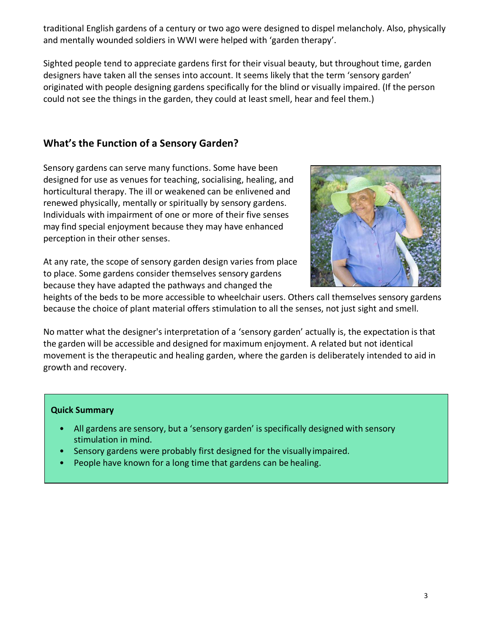traditional English gardens of a century or two ago were designed to dispel melancholy. Also, physically and mentally wounded soldiers in WWI were helped with 'garden therapy'.

Sighted people tend to appreciate gardens first for their visual beauty, but throughout time, garden designers have taken all the senses into account. It seems likely that the term 'sensory garden' originated with people designing gardens specifically for the blind or visually impaired. (If the person could not see the things in the garden, they could at least smell, hear and feel them.)

# **What's the Function of a Sensory Garden?**

Sensory gardens can serve many functions. Some have been designed for use as venues for teaching, socialising, healing, and horticultural therapy. The ill or weakened can be enlivened and renewed physically, mentally or spiritually by sensory gardens. Individuals with impairment of one or more of their five senses may find special enjoyment because they may have enhanced perception in their other senses.

At any rate, the scope of sensory garden design varies from place to place. Some gardens consider themselves sensory gardens because they have adapted the pathways and changed the



heights of the beds to be more accessible to wheelchair users. Others call themselves sensory gardens because the choice of plant material offers stimulation to all the senses, not just sight and smell.

No matter what the designer's interpretation of a 'sensory garden' actually is, the expectation is that the garden will be accessible and designed for maximum enjoyment. A related but not identical movement is the therapeutic and healing garden, where the garden is deliberately intended to aid in growth and recovery.

## **Quick Summary**

- All gardens are sensory, but a 'sensory garden' is specifically designed with sensory stimulation in mind.
- Sensory gardens were probably first designed for the visually impaired.
- People have known for a long time that gardens can be healing.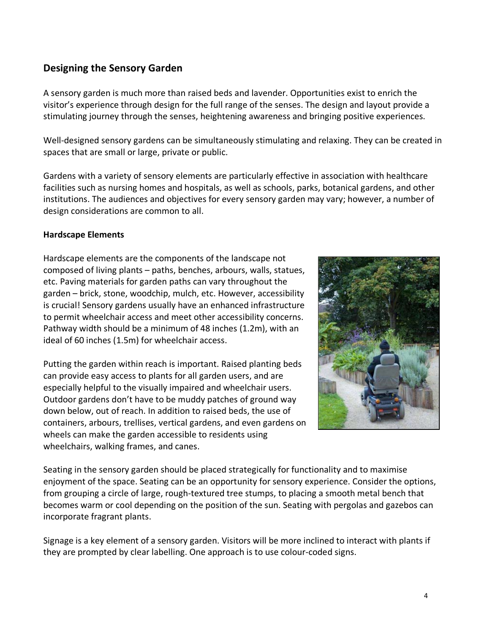# **Designing the Sensory Garden**

A sensory garden is much more than raised beds and lavender. Opportunities exist to enrich the visitor's experience through design for the full range of the senses. The design and layout provide a stimulating journey through the senses, heightening awareness and bringing positive experiences.

Well-designed sensory gardens can be simultaneously stimulating and relaxing. They can be created in spaces that are small or large, private or public.

Gardens with a variety of sensory elements are particularly effective in association with healthcare facilities such as nursing homes and hospitals, as well as schools, parks, botanical gardens, and other institutions. The audiences and objectives for every sensory garden may vary; however, a number of design considerations are common to all.

## **Hardscape Elements**

Hardscape elements are the components of the landscape not composed of living plants – paths, benches, arbours, walls, statues, etc. Paving materials for garden paths can vary throughout the garden – brick, stone, woodchip, mulch, etc. However, accessibility is crucial! Sensory gardens usually have an enhanced infrastructure to permit wheelchair access and meet other accessibility concerns. Pathway width should be a minimum of 48 inches (1.2m), with an ideal of 60 inches (1.5m) for wheelchair access.

Putting the garden within reach is important. Raised planting beds can provide easy access to plants for all garden users, and are especially helpful to the visually impaired and wheelchair users. Outdoor gardens don't have to be muddy patches of ground way down below, out of reach. In addition to raised beds, the use of containers, arbours, trellises, vertical gardens, and even gardens on wheels can make the garden accessible to residents using wheelchairs, walking frames, and canes.



Seating in the sensory garden should be placed strategically for functionality and to maximise enjoyment of the space. Seating can be an opportunity for sensory experience. Consider the options, from grouping a circle of large, rough-textured tree stumps, to placing a smooth metal bench that becomes warm or cool depending on the position of the sun. Seating with pergolas and gazebos can incorporate fragrant plants.

Signage is a key element of a sensory garden. Visitors will be more inclined to interact with plants if they are prompted by clear labelling. One approach is to use colour-coded signs.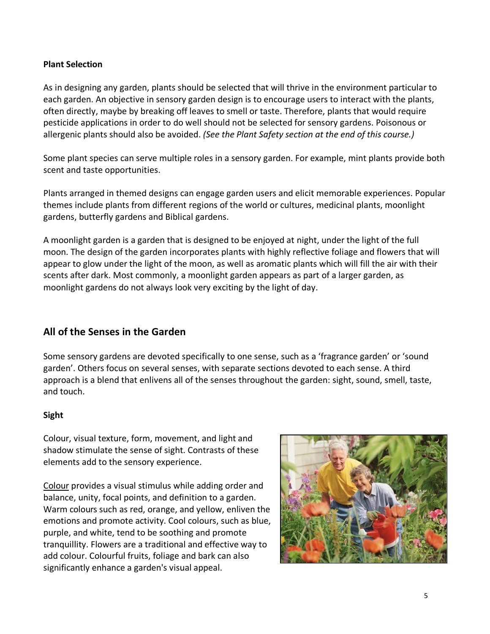## **Plant Selection**

As in designing any garden, plants should be selected that will thrive in the environment particular to each garden. An objective in sensory garden design is to encourage users to interact with the plants, often directly, maybe by breaking off leaves to smell or taste. Therefore, plants that would require pesticide applications in order to do well should not be selected for sensory gardens. Poisonous or allergenic plants should also be avoided. *(See the Plant Safety section at the end of this course.)*

Some plant species can serve multiple roles in a sensory garden. For example, mint plants provide both scent and taste opportunities.

Plants arranged in themed designs can engage garden users and elicit memorable experiences. Popular themes include plants from different regions of the world or cultures, medicinal plants, moonlight gardens, butterfly gardens and Biblical gardens.

A moonlight garden is a garden that is designed to be enjoyed at night, under the light of the full moon. The design of the garden incorporates plants with highly reflective foliage and flowers that will appear to glow under the light of the moon, as well as aromatic plants which will fill the air with their scents after dark. Most commonly, a moonlight garden appears as part of a larger garden, as moonlight gardens do not always look very exciting by the light of day.

# **All of the Senses in the Garden**

Some sensory gardens are devoted specifically to one sense, such as a 'fragrance garden' or 'sound garden'. Others focus on several senses, with separate sections devoted to each sense. A third approach is a blend that enlivens all of the senses throughout the garden: sight, sound, smell, taste, and touch.

## **Sight**

Colour, visual texture, form, movement, and light and shadow stimulate the sense of sight. Contrasts of these elements add to the sensory experience.

Colour provides a visual stimulus while adding order and balance, unity, focal points, and definition to a garden. Warm colours such as red, orange, and yellow, enliven the emotions and promote activity. Cool colours, such as blue, purple, and white, tend to be soothing and promote tranquillity. Flowers are a traditional and effective way to add colour. Colourful fruits, foliage and bark can also significantly enhance a garden's visual appeal.

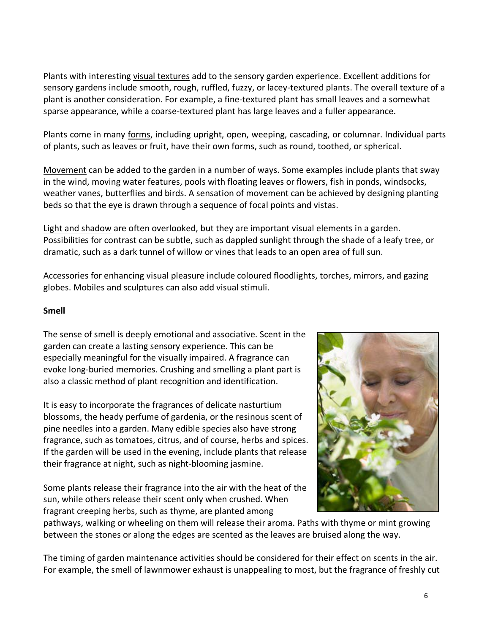Plants with interesting visual textures add to the sensory garden experience. Excellent additions for sensory gardens include smooth, rough, ruffled, fuzzy, or lacey-textured plants. The overall texture of a plant is another consideration. For example, a fine-textured plant has small leaves and a somewhat sparse appearance, while a coarse-textured plant has large leaves and a fuller appearance.

Plants come in many forms, including upright, open, weeping, cascading, or columnar. Individual parts of plants, such as leaves or fruit, have their own forms, such as round, toothed, or spherical.

Movement can be added to the garden in a number of ways. Some examples include plants that sway in the wind, moving water features, pools with floating leaves or flowers, fish in ponds, windsocks, weather vanes, butterflies and birds. A sensation of movement can be achieved by designing planting beds so that the eye is drawn through a sequence of focal points and vistas.

Light and shadow are often overlooked, but they are important visual elements in a garden. Possibilities for contrast can be subtle, such as dappled sunlight through the shade of a leafy tree, or dramatic, such as a dark tunnel of willow or vines that leads to an open area of full sun.

Accessories for enhancing visual pleasure include coloured floodlights, torches, mirrors, and gazing globes. Mobiles and sculptures can also add visual stimuli.

## **Smell**

The sense of smell is deeply emotional and associative. Scent in the garden can create a lasting sensory experience. This can be especially meaningful for the visually impaired. A fragrance can evoke long-buried memories. Crushing and smelling a plant part is also a classic method of plant recognition and identification.

It is easy to incorporate the fragrances of delicate nasturtium blossoms, the heady perfume of gardenia, or the resinous scent of pine needles into a garden. Many edible species also have strong fragrance, such as tomatoes, citrus, and of course, herbs and spices. If the garden will be used in the evening, include plants that release their fragrance at night, such as night-blooming jasmine.

Some plants release their fragrance into the air with the heat of the sun, while others release their scent only when crushed. When fragrant creeping herbs, such as thyme, are planted among



pathways, walking or wheeling on them will release their aroma. Paths with thyme or mint growing between the stones or along the edges are scented as the leaves are bruised along the way.

The timing of garden maintenance activities should be considered for their effect on scents in the air. For example, the smell of lawnmower exhaust is unappealing to most, but the fragrance of freshly cut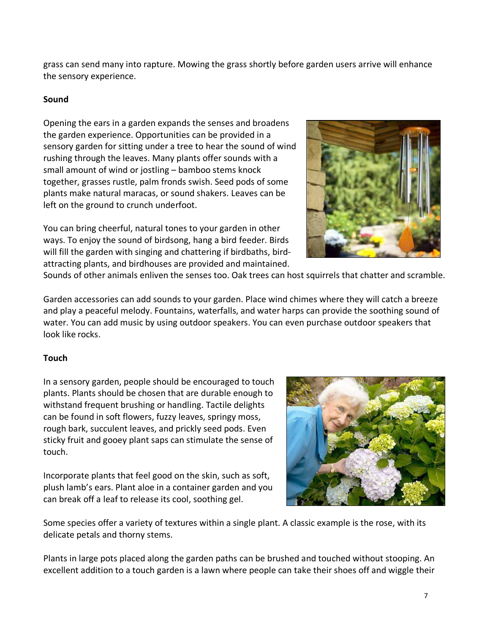grass can send many into rapture. Mowing the grass shortly before garden users arrive will enhance the sensory experience.

## **Sound**

Opening the ears in a garden expands the senses and broadens the garden experience. Opportunities can be provided in a sensory garden for sitting under a tree to hear the sound of wind rushing through the leaves. Many plants offer sounds with a small amount of wind or jostling – bamboo stems knock together, grasses rustle, palm fronds swish. Seed pods of some plants make natural maracas, or sound shakers. Leaves can be left on the ground to crunch underfoot.

You can bring cheerful, natural tones to your garden in other ways. To enjoy the sound of birdsong, hang a bird feeder. Birds will fill the garden with singing and chattering if birdbaths, birdattracting plants, and birdhouses are provided and maintained.



Sounds of other animals enliven the senses too. Oak trees can host squirrels that chatter and scramble.

Garden accessories can add sounds to your garden. Place wind chimes where they will catch a breeze and play a peaceful melody. Fountains, waterfalls, and water harps can provide the soothing sound of water. You can add music by using outdoor speakers. You can even purchase outdoor speakers that look like rocks.

## **Touch**

In a sensory garden, people should be encouraged to touch plants. Plants should be chosen that are durable enough to withstand frequent brushing or handling. Tactile delights can be found in soft flowers, fuzzy leaves, springy moss, rough bark, succulent leaves, and prickly seed pods. Even sticky fruit and gooey plant saps can stimulate the sense of touch.

Incorporate plants that feel good on the skin, such as soft, plush lamb's ears. Plant aloe in a container garden and you can break off a leaf to release its cool, soothing gel.



Some species offer a variety of textures within a single plant. A classic example is the rose, with its delicate petals and thorny stems.

Plants in large pots placed along the garden paths can be brushed and touched without stooping. An excellent addition to a touch garden is a lawn where people can take their shoes off and wiggle their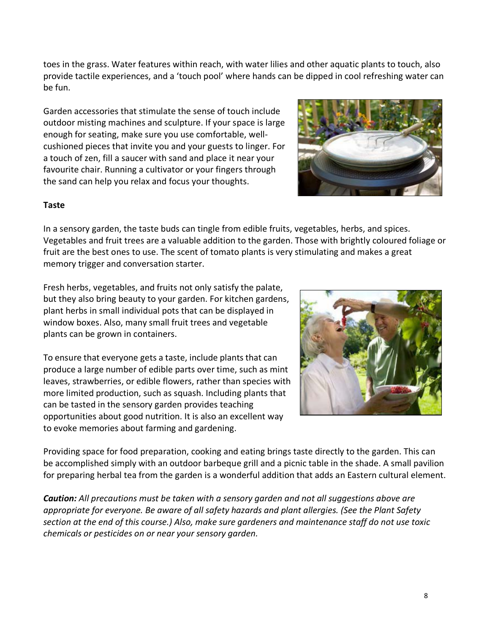toes in the grass. Water features within reach, with water lilies and other aquatic plants to touch, also provide tactile experiences, and a 'touch pool' where hands can be dipped in cool refreshing water can be fun.

Garden accessories that stimulate the sense of touch include outdoor misting machines and sculpture. If your space is large enough for seating, make sure you use comfortable, wellcushioned pieces that invite you and your guests to linger. For a touch of zen, fill a saucer with sand and place it near your favourite chair. Running a cultivator or your fingers through the sand can help you relax and focus your thoughts.



## **Taste**

In a sensory garden, the taste buds can tingle from edible fruits, vegetables, herbs, and spices. Vegetables and fruit trees are a valuable addition to the garden. Those with brightly coloured foliage or fruit are the best ones to use. The scent of tomato plants is very stimulating and makes a great memory trigger and conversation starter.

Fresh herbs, vegetables, and fruits not only satisfy the palate, but they also bring beauty to your garden. For kitchen gardens, plant herbs in small individual pots that can be displayed in window boxes. Also, many small fruit trees and vegetable plants can be grown in containers.

To ensure that everyone gets a taste, include plants that can produce a large number of edible parts over time, such as mint leaves, strawberries, or edible flowers, rather than species with more limited production, such as squash. Including plants that can be tasted in the sensory garden provides teaching opportunities about good nutrition. It is also an excellent way to evoke memories about farming and gardening.



Providing space for food preparation, cooking and eating brings taste directly to the garden. This can be accomplished simply with an outdoor barbeque grill and a picnic table in the shade. A small pavilion for preparing herbal tea from the garden is a wonderful addition that adds an Eastern cultural element.

*Caution: All precautions must be taken with a sensory garden and not all suggestions above are appropriate for everyone. Be aware of all safety hazards and plant allergies. (See the Plant Safety section at the end of this course.) Also, make sure gardeners and maintenance staff do not use toxic chemicals or pesticides on or near your sensory garden.*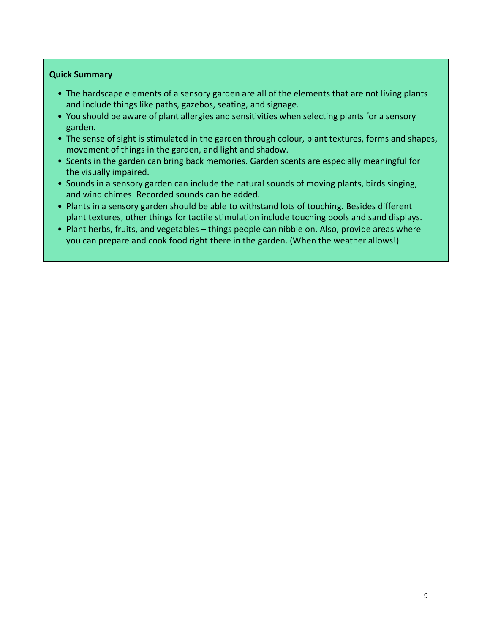#### **Quick Summary**

- The hardscape elements of a sensory garden are all of the elements that are not living plants and include things like paths, gazebos, seating, and signage.
- You should be aware of plant allergies and sensitivities when selecting plants for a sensory garden.
- The sense of sight is stimulated in the garden through colour, plant textures, forms and shapes, movement of things in the garden, and light and shadow.
- Scents in the garden can bring back memories. Garden scents are especially meaningful for the visually impaired.
- Sounds in a sensory garden can include the natural sounds of moving plants, birds singing, and wind chimes. Recorded sounds can be added.
- Plants in a sensory garden should be able to withstand lots of touching. Besides different plant textures, other things for tactile stimulation include touching pools and sand displays.
- Plant herbs, fruits, and vegetables things people can nibble on. Also, provide areas where you can prepare and cook food right there in the garden. (When the weather allows!)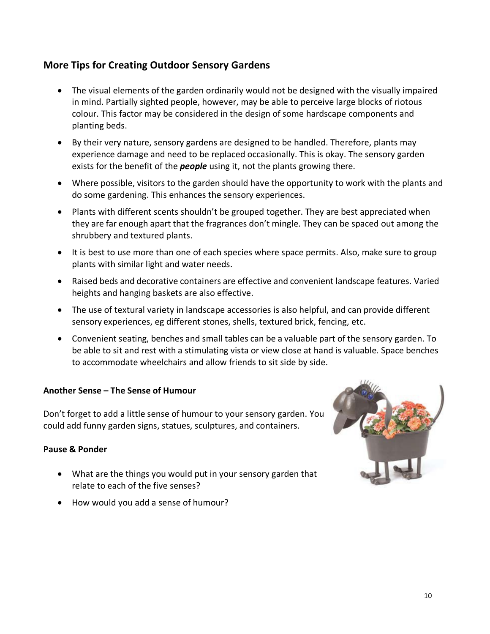# **More Tips for Creating Outdoor Sensory Gardens**

- The visual elements of the garden ordinarily would not be designed with the visually impaired in mind. Partially sighted people, however, may be able to perceive large blocks of riotous colour. This factor may be considered in the design of some hardscape components and planting beds.
- By their very nature, sensory gardens are designed to be handled. Therefore, plants may experience damage and need to be replaced occasionally. This is okay. The sensory garden exists for the benefit of the *people* using it, not the plants growing there.
- Where possible, visitors to the garden should have the opportunity to work with the plants and do some gardening. This enhances the sensory experiences.
- Plants with different scents shouldn't be grouped together. They are best appreciated when they are far enough apart that the fragrances don't mingle. They can be spaced out among the shrubbery and textured plants.
- It is best to use more than one of each species where space permits. Also, make sure to group plants with similar light and water needs.
- Raised beds and decorative containers are effective and convenient landscape features. Varied heights and hanging baskets are also effective.
- The use of textural variety in landscape accessories is also helpful, and can provide different sensory experiences, eg different stones, shells, textured brick, fencing, etc.
- Convenient seating, benches and small tables can be a valuable part of the sensory garden. To be able to sit and rest with a stimulating vista or view close at hand is valuable. Space benches to accommodate wheelchairs and allow friends to sit side by side.

## **Another Sense – The Sense of Humour**

Don't forget to add a little sense of humour to your sensory garden. You could add funny garden signs, statues, sculptures, and containers.

## **Pause & Ponder**

- What are the things you would put in your sensory garden that relate to each of the five senses?
- How would you add a sense of humour?

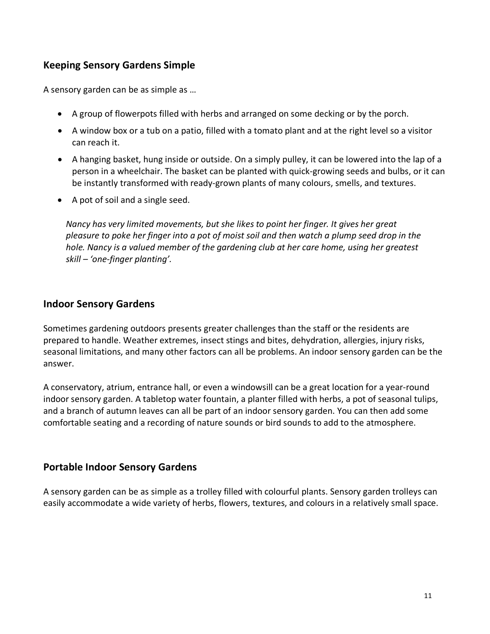# **Keeping Sensory Gardens Simple**

A sensory garden can be as simple as …

- A group of flowerpots filled with herbs and arranged on some decking or by the porch.
- A window box or a tub on a patio, filled with a tomato plant and at the right level so a visitor can reach it.
- A hanging basket, hung inside or outside. On a simply pulley, it can be lowered into the lap of a person in a wheelchair. The basket can be planted with quick-growing seeds and bulbs, or it can be instantly transformed with ready-grown plants of many colours, smells, and textures.
- A pot of soil and a single seed.

*Nancy has very limited movements, but she likes to point her finger. It gives her great pleasure to poke her finger into a pot of moist soil and then watch a plump seed drop in the hole. Nancy is a valued member of the gardening club at her care home, using her greatest skill – 'one-finger planting'.*

## **Indoor Sensory Gardens**

Sometimes gardening outdoors presents greater challenges than the staff or the residents are prepared to handle. Weather extremes, insect stings and bites, dehydration, allergies, injury risks, seasonal limitations, and many other factors can all be problems. An indoor sensory garden can be the answer.

A conservatory, atrium, entrance hall, or even a windowsill can be a great location for a year-round indoor sensory garden. A tabletop water fountain, a planter filled with herbs, a pot of seasonal tulips, and a branch of autumn leaves can all be part of an indoor sensory garden. You can then add some comfortable seating and a recording of nature sounds or bird sounds to add to the atmosphere.

## **Portable Indoor Sensory Gardens**

A sensory garden can be as simple as a trolley filled with colourful plants. Sensory garden trolleys can easily accommodate a wide variety of herbs, flowers, textures, and colours in a relatively small space.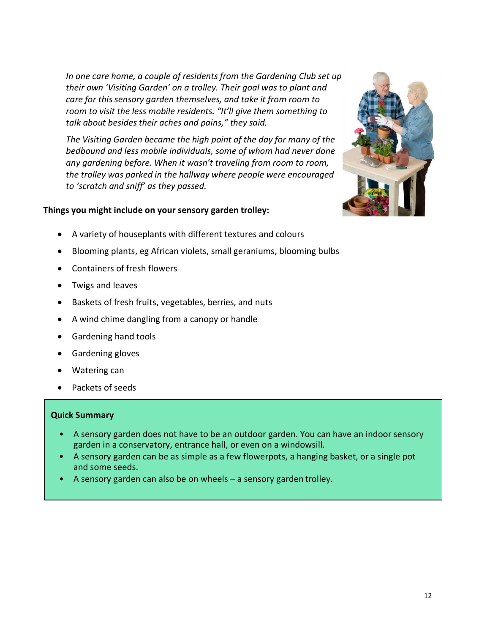*In one care home, a couple of residents from the Gardening Club set up their own 'Visiting Garden' on a trolley. Their goal was to plant and care for this sensory garden themselves, and take it from room to room to visit the less mobile residents. "It'll give them something to talk about besides their aches and pains," they said.*

*The Visiting Garden became the high point of the day for many of the bedbound and less mobile individuals, some of whom had never done any gardening before. When it wasn't traveling from room to room, the trolley was parked in the hallway where people were encouraged to 'scratch and sniff' as they passed.*

## **Things you might include on your sensory garden trolley:**



- A variety of houseplants with different textures and colours
- Blooming plants, eg African violets, small geraniums, blooming bulbs
- Containers of fresh flowers
- Twigs and leaves
- Baskets of fresh fruits, vegetables, berries, and nuts
- A wind chime dangling from a canopy or handle
- Gardening hand tools
- Gardening gloves
- Watering can
- Packets of seeds

## **Quick Summary**

- A sensory garden does not have to be an outdoor garden. You can have an indoor sensory garden in a conservatory, entrance hall, or even on a windowsill.
- A sensory garden can be as simple as a few flowerpots, a hanging basket, or a single pot and some seeds.
- A sensory garden can also be on wheels a sensory garden trolley.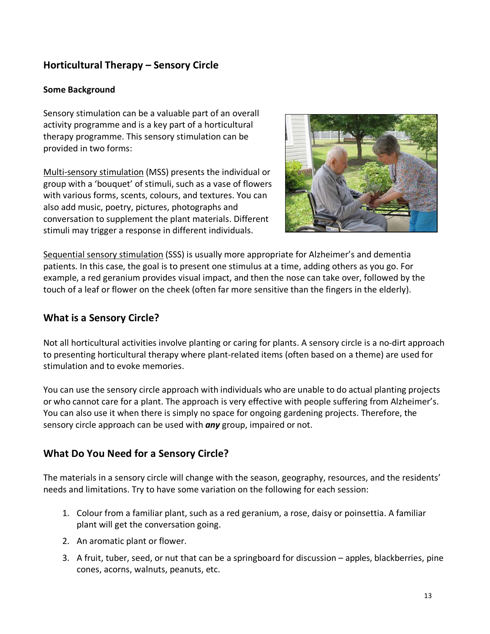# **Horticultural Therapy – Sensory Circle**

## **Some Background**

Sensory stimulation can be a valuable part of an overall activity programme and is a key part of a horticultural therapy programme. This sensory stimulation can be provided in two forms:

Multi-sensory stimulation (MSS) presents the individual or group with a 'bouquet' of stimuli, such as a vase of flowers with various forms, scents, colours, and textures. You can also add music, poetry, pictures, photographs and conversation to supplement the plant materials. Different stimuli may trigger a response in different individuals.



Sequential sensory stimulation (SSS) is usually more appropriate for Alzheimer's and dementia patients. In this case, the goal is to present one stimulus at a time, adding others as you go. For example, a red geranium provides visual impact, and then the nose can take over, followed by the touch of a leaf or flower on the cheek (often far more sensitive than the fingers in the elderly).

## **What is a Sensory Circle?**

Not all horticultural activities involve planting or caring for plants. A sensory circle is a no-dirt approach to presenting horticultural therapy where plant-related items (often based on a theme) are used for stimulation and to evoke memories.

You can use the sensory circle approach with individuals who are unable to do actual planting projects or who cannot care for a plant. The approach is very effective with people suffering from Alzheimer's. You can also use it when there is simply no space for ongoing gardening projects. Therefore, the sensory circle approach can be used with *any* group, impaired or not.

# **What Do You Need for a Sensory Circle?**

The materials in a sensory circle will change with the season, geography, resources, and the residents' needs and limitations. Try to have some variation on the following for each session:

- 1. Colour from a familiar plant, such as a red geranium, a rose, daisy or poinsettia. A familiar plant will get the conversation going.
- 2. An aromatic plant or flower.
- 3. A fruit, tuber, seed, or nut that can be a springboard for discussion apples, blackberries, pine cones, acorns, walnuts, peanuts, etc.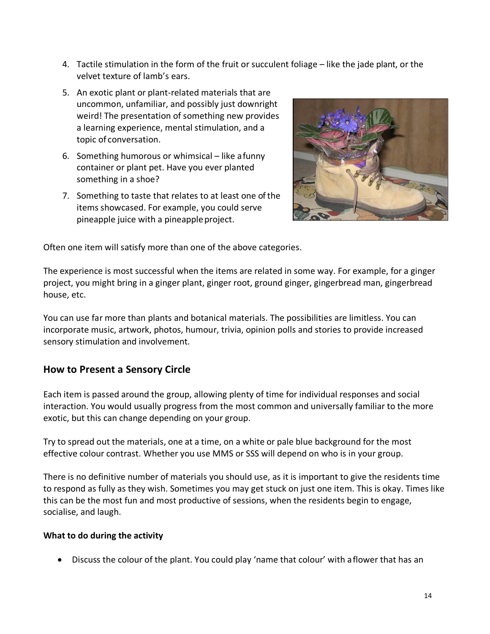- 4. Tactile stimulation in the form of the fruit or succulent foliage like the jade plant, or the velvet texture of lamb's ears.
- 5. An exotic plant or plant-related materials that are uncommon, unfamiliar, and possibly just downright weird! The presentation of something new provides a learning experience, mental stimulation, and a topic of conversation.
- 6. Something humorous or whimsical like afunny container or plant pet. Have you ever planted something in a shoe?
- 7. Something to taste that relates to at least one of the items showcased. For example, you could serve pineapple juice with a pineapple project.



Often one item will satisfy more than one of the above categories.

The experience is most successful when the items are related in some way. For example, for a ginger project, you might bring in a ginger plant, ginger root, ground ginger, gingerbread man, gingerbread house, etc.

You can use far more than plants and botanical materials. The possibilities are limitless. You can incorporate music, artwork, photos, humour, trivia, opinion polls and stories to provide increased sensory stimulation and involvement.

# **How to Present a Sensory Circle**

Each item is passed around the group, allowing plenty of time for individual responses and social interaction. You would usually progress from the most common and universally familiar to the more exotic, but this can change depending on your group.

Try to spread out the materials, one at a time, on a white or pale blue background for the most effective colour contrast. Whether you use MMS or SSS will depend on who is in your group.

There is no definitive number of materials you should use, as it is important to give the residents time to respond as fully as they wish. Sometimes you may get stuck on just one item. This is okay. Times like this can be the most fun and most productive of sessions, when the residents begin to engage, socialise, and laugh.

## **What to do during the activity**

• Discuss the colour of the plant. You could play 'name that colour' with a flower that has an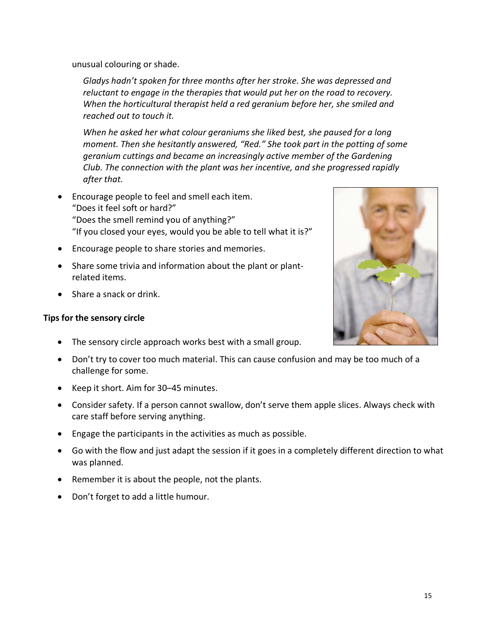unusual colouring or shade.

*Gladys hadn't spoken for three months after her stroke. She was depressed and reluctant to engage in the therapies that would put her on the road to recovery. When the horticultural therapist held a red geranium before her, she smiled and reached out to touch it.*

*When he asked her what colour geraniums she liked best, she paused for a long moment. Then she hesitantly answered, "Red." She took part in the potting of some geranium cuttings and became an increasingly active member of the Gardening Club. The connection with the plant was her incentive, and she progressed rapidly after that.*

- Encourage people to feel and smell each item. "Does it feel soft or hard?" "Does the smell remind you of anything?" "If you closed your eyes, would you be able to tell what it is?"
- Encourage people to share stories and memories.
- Share some trivia and information about the plant or plantrelated items.
- Share a snack or drink.

## **Tips for the sensory circle**

- The sensory circle approach works best with a small group.
- Don't try to cover too much material. This can cause confusion and may be too much of a challenge for some.
- Keep it short. Aim for 30–45 minutes.
- Consider safety. If a person cannot swallow, don't serve them apple slices. Always check with care staff before serving anything.
- Engage the participants in the activities as much as possible.
- Go with the flow and just adapt the session if it goes in a completely different direction to what was planned.
- Remember it is about the people, not the plants.
- Don't forget to add a little humour.

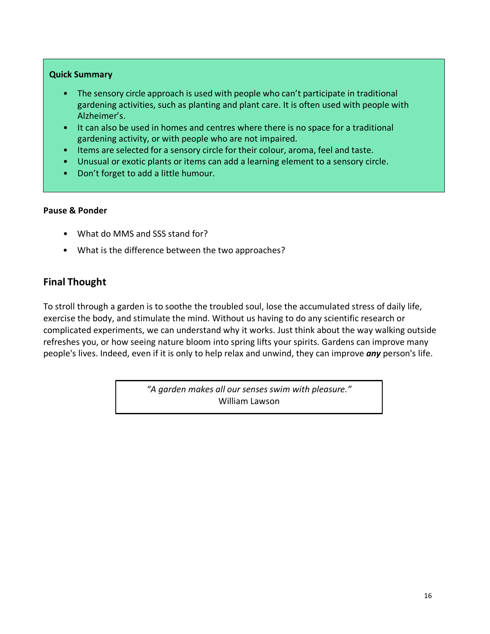## **Quick Summary**

- The sensory circle approach is used with people who can't participate in traditional gardening activities, such as planting and plant care. It is often used with people with Alzheimer's.
- It can also be used in homes and centres where there is no space for a traditional gardening activity, or with people who are not impaired.
- Items are selected for a sensory circle for their colour, aroma, feel and taste.
- Unusual or exotic plants or items can add a learning element to a sensory circle.
- Don't forget to add a little humour.

## **Pause & Ponder**

- What do MMS and SSS stand for?
- What is the difference between the two approaches?

# **Final Thought**

To stroll through a garden is to soothe the troubled soul, lose the accumulated stress of daily life, exercise the body, and stimulate the mind. Without us having to do any scientific research or complicated experiments, we can understand why it works. Just think about the way walking outside refreshes you, or how seeing nature bloom into spring lifts your spirits. Gardens can improve many people's lives. Indeed, even if it is only to help relax and unwind, they can improve *any* person's life.

> *"A garden makes all our senses swim with pleasure."* William Lawson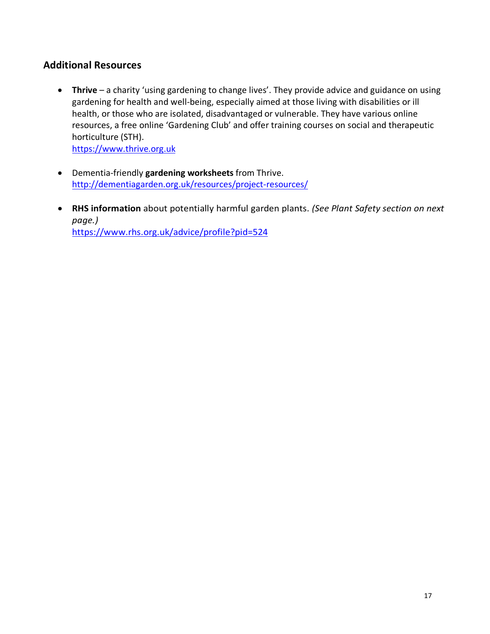# **Additional Resources**

• **Thrive** – a charity 'using gardening to change lives'. They provide advice and guidance on using gardening for health and well-being, especially aimed at those living with disabilities or ill health, or those who are isolated, disadvantaged or vulnerable. They have various online resources, a free online 'Gardening Club' and offer training courses on social and therapeutic horticulture (STH).

https://www.thrive.org.uk

- Dementia-friendly **gardening worksheets** from Thrive. http://dementiagarden.org.uk/resources/project-resources/
- **RHS information** about potentially harmful garden plants. *(See Plant Safety section on next page.)* https://www.rhs.org.uk/advice/profile?pid=524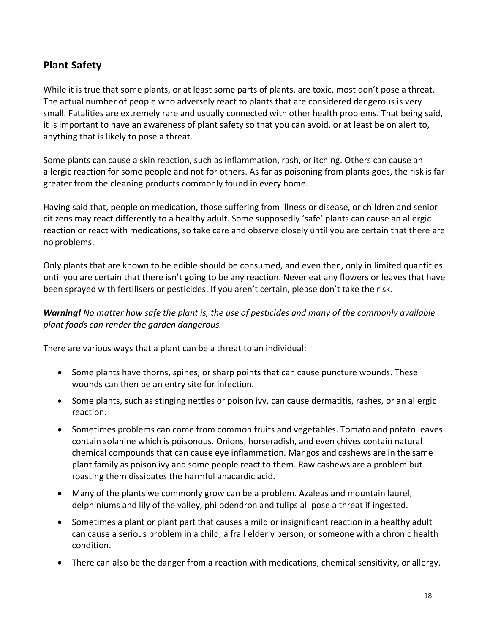# **Plant Safety**

While it is true that some plants, or at least some parts of plants, are toxic, most don't pose a threat. The actual number of people who adversely react to plants that are considered dangerous is very small. Fatalities are extremely rare and usually connected with other health problems. That being said, it is important to have an awareness of plant safety so that you can avoid, or at least be on alert to, anything that is likely to pose a threat.

Some plants can cause a skin reaction, such as inflammation, rash, or itching. Others can cause an allergic reaction for some people and not for others. As far as poisoning from plants goes, the risk is far greater from the cleaning products commonly found in every home.

Having said that, people on medication, those suffering from illness or disease, or children and senior citizens may react differently to a healthy adult. Some supposedly 'safe' plants can cause an allergic reaction or react with medications, so take care and observe closely until you are certain that there are no problems.

Only plants that are known to be edible should be consumed, and even then, only in limited quantities until you are certain that there isn't going to be any reaction. Never eat any flowers or leaves that have been sprayed with fertilisers or pesticides. If you aren't certain, please don't take the risk.

## *Warning! No matter how safe the plant is, the use of pesticides and many of the commonly available plant foods can render the garden dangerous.*

There are various ways that a plant can be a threat to an individual:

- Some plants have thorns, spines, or sharp points that can cause puncture wounds. These wounds can then be an entry site for infection.
- Some plants, such as stinging nettles or poison ivy, can cause dermatitis, rashes, or an allergic reaction.
- Sometimes problems can come from common fruits and vegetables. Tomato and potato leaves contain solanine which is poisonous. Onions, horseradish, and even chives contain natural chemical compounds that can cause eye inflammation. Mangos and cashews are in the same plant family as poison ivy and some people react to them. Raw cashews are a problem but roasting them dissipates the harmful anacardic acid.
- Many of the plants we commonly grow can be a problem. Azaleas and mountain laurel, delphiniums and lily of the valley, philodendron and tulips all pose a threat if ingested.
- Sometimes a plant or plant part that causes a mild or insignificant reaction in a healthy adult can cause a serious problem in a child, a frail elderly person, or someone with a chronic health condition.
- There can also be the danger from a reaction with medications, chemical sensitivity, or allergy.